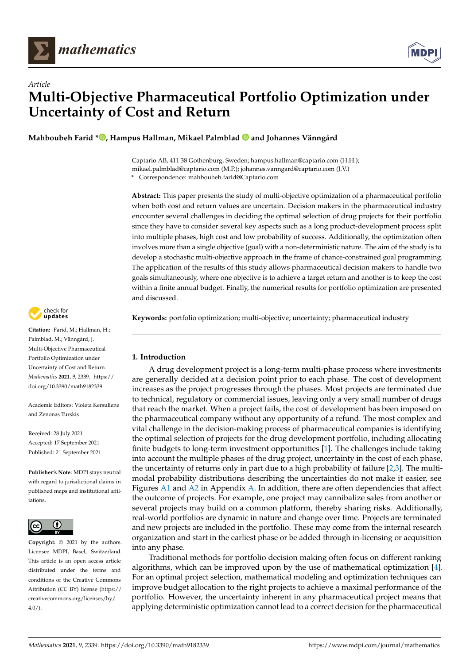



**Mahboubeh Farid [\\*](https://orcid.org/0000-0003-4940-8720) , Hampus Hallman, Mikael Palmblad and Johannes Vänngård**

Captario AB, 411 38 Gothenburg, Sweden; hampus.hallman@captario.com (H.H.); mikael.palmblad@captario.com (M.P.); johannes.vanngard@captario.com (J.V.)

**\*** Correspondence: mahboubeh.farid@Captario.com

**Abstract:** This paper presents the study of multi-objective optimization of a pharmaceutical portfolio when both cost and return values are uncertain. Decision makers in the pharmaceutical industry encounter several challenges in deciding the optimal selection of drug projects for their portfolio since they have to consider several key aspects such as a long product-development process split into multiple phases, high cost and low probability of success. Additionally, the optimization often involves more than a single objective (goal) with a non-deterministic nature. The aim of the study is to develop a stochastic multi-objective approach in the frame of chance-constrained goal programming. The application of the results of this study allows pharmaceutical decision makers to handle two goals simultaneously, where one objective is to achieve a target return and another is to keep the cost within a finite annual budget. Finally, the numerical results for portfolio optimization are presented and discussed.

**Keywords:** portfolio optimization; multi-objective; uncertainty; pharmaceutical industry

# **1. Introduction**

A drug development project is a long-term multi-phase process where investments are generally decided at a decision point prior to each phase. The cost of development increases as the project progresses through the phases. Most projects are terminated due to technical, regulatory or commercial issues, leaving only a very small number of drugs that reach the market. When a project fails, the cost of development has been imposed on the pharmaceutical company without any opportunity of a refund. The most complex and vital challenge in the decision-making process of pharmaceutical companies is identifying the optimal selection of projects for the drug development portfolio, including allocating finite budgets to long-term investment opportunities [\[1\]](#page-10-0). The challenges include taking into account the multiple phases of the drug project, uncertainty in the cost of each phase, the uncertainty of returns only in part due to a high probability of failure  $[2,3]$  $[2,3]$ . The multimodal probability distributions describing the uncertainties do not make it easier, see Figures [A1](#page-9-0) and [A2](#page-9-1) in Appendix [A.](#page-8-0) In addition, there are often dependencies that affect the outcome of projects. For example, one project may cannibalize sales from another or several projects may build on a common platform, thereby sharing risks. Additionally, real-world portfolios are dynamic in nature and change over time. Projects are terminated and new projects are included in the portfolio. These may come from the internal research organization and start in the earliest phase or be added through in-licensing or acquisition into any phase.

Traditional methods for portfolio decision making often focus on different ranking algorithms, which can be improved upon by the use of mathematical optimization [\[4\]](#page-10-3). For an optimal project selection, mathematical modeling and optimization techniques can improve budget allocation to the right projects to achieve a maximal performance of the portfolio. However, the uncertainty inherent in any pharmaceutical project means that applying deterministic optimization cannot lead to a correct decision for the pharmaceutical



**Citation:** Farid, M.; Hallman, H.; Palmblad, M.; Vänngård, J. Multi-Objective Pharmaceutical Portfolio Optimization under Uncertainty of Cost and Return. *Mathematics* **2021**, *9*, 2339. [https://](https://doi.org/10.3390/math9182339) [doi.org/10.3390/math9182339](https://doi.org/10.3390/math9182339)

Academic Editors: Violeta Kersuliene and Zenonas Turskis

Received: 28 July 2021 Accepted: 17 September 2021 Published: 21 September 2021

**Publisher's Note:** MDPI stays neutral with regard to jurisdictional claims in published maps and institutional affiliations.



**Copyright:** © 2021 by the authors. Licensee MDPI, Basel, Switzerland. This article is an open access article distributed under the terms and conditions of the Creative Commons Attribution (CC BY) license (https:/[/](https://creativecommons.org/licenses/by/4.0/) [creativecommons.org/licenses/by/](https://creativecommons.org/licenses/by/4.0/)  $4.0/$ ).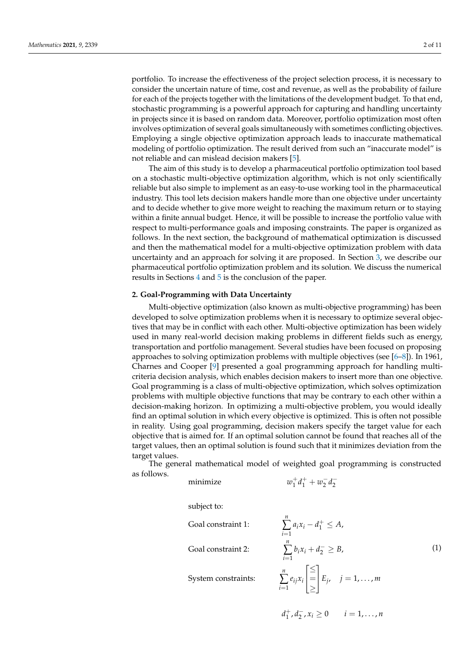portfolio. To increase the effectiveness of the project selection process, it is necessary to consider the uncertain nature of time, cost and revenue, as well as the probability of failure for each of the projects together with the limitations of the development budget. To that end, stochastic programming is a powerful approach for capturing and handling uncertainty in projects since it is based on random data. Moreover, portfolio optimization most often involves optimization of several goals simultaneously with sometimes conflicting objectives. Employing a single objective optimization approach leads to inaccurate mathematical modeling of portfolio optimization. The result derived from such an "inaccurate model" is not reliable and can mislead decision makers [\[5\]](#page-10-4).

The aim of this study is to develop a pharmaceutical portfolio optimization tool based on a stochastic multi-objective optimization algorithm, which is not only scientifically reliable but also simple to implement as an easy-to-use working tool in the pharmaceutical industry. This tool lets decision makers handle more than one objective under uncertainty and to decide whether to give more weight to reaching the maximum return or to staying within a finite annual budget. Hence, it will be possible to increase the portfolio value with respect to multi-performance goals and imposing constraints. The paper is organized as follows. In the next section, the background of mathematical optimization is discussed and then the mathematical model for a multi-objective optimization problem with data uncertainty and an approach for solving it are proposed. In Section [3,](#page-3-0) we describe our pharmaceutical portfolio optimization problem and its solution. We discuss the numerical results in Sections [4](#page-4-0) and [5](#page-8-1) is the conclusion of the paper.

### **2. Goal-Programming with Data Uncertainty**

Multi-objective optimization (also known as multi-objective programming) has been developed to solve optimization problems when it is necessary to optimize several objectives that may be in conflict with each other. Multi-objective optimization has been widely used in many real-world decision making problems in different fields such as energy, transportation and portfolio management. Several studies have been focused on proposing approaches to solving optimization problems with multiple objectives (see [\[6](#page-10-5)[–8\]](#page-10-6)). In 1961, Charnes and Cooper [\[9\]](#page-10-7) presented a goal programming approach for handling multicriteria decision analysis, which enables decision makers to insert more than one objective. Goal programming is a class of multi-objective optimization, which solves optimization problems with multiple objective functions that may be contrary to each other within a decision-making horizon. In optimizing a multi-objective problem, you would ideally find an optimal solution in which every objective is optimized. This is often not possible in reality. Using goal programming, decision makers specify the target value for each objective that is aimed for. If an optimal solution cannot be found that reaches all of the target values, then an optimal solution is found such that it minimizes deviation from the target values.

The general mathematical model of weighted goal programming is constructed as follows.

*n*

minimize *w*

$$
w_1^+d_1^++w_2^-d_2^-
$$

subject to:

Goal constraint 1:

Goal constraint 2:

System constraints:

$$
\sum_{i=1} a_i x_i - d_1^+ \le A,
$$
\n
$$
\sum_{i=1}^n b_i x_i + d_2^- \ge B,
$$
\n
$$
\sum_{i=1}^n e_{ij} x_i \begin{bmatrix} \le \\ = \\ \ge \end{bmatrix} E_j, \quad j = 1, ..., m
$$
\n(1)

$$
d_1^+, d_2^-, x_i \ge 0 \qquad i = 1, \dots, n
$$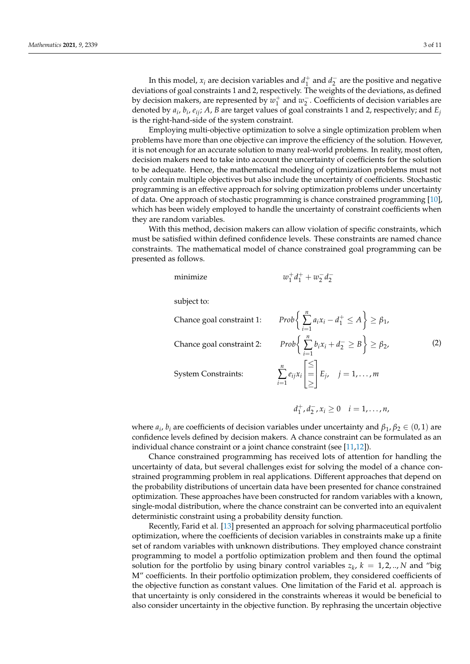In this model,  $x_i$  are decision variables and  $d_1^+$  and  $d_2^-$  are the positive and negative deviations of goal constraints 1 and 2, respectively. The weights of the deviations, as defined by decision makers, are represented by  $w_1^+$  and  $w_2^-$ . Coefficients of decision variables are denoted by *a<sup>i</sup>* , *b<sup>i</sup>* , *eij*; *A*, *B* are target values of goal constraints 1 and 2, respectively; and *E<sup>j</sup>* is the right-hand-side of the system constraint.

Employing multi-objective optimization to solve a single optimization problem when problems have more than one objective can improve the efficiency of the solution. However, it is not enough for an accurate solution to many real-world problems. In reality, most often, decision makers need to take into account the uncertainty of coefficients for the solution to be adequate. Hence, the mathematical modeling of optimization problems must not only contain multiple objectives but also include the uncertainty of coefficients. Stochastic programming is an effective approach for solving optimization problems under uncertainty of data. One approach of stochastic programming is chance constrained programming [\[10\]](#page-10-8), which has been widely employed to handle the uncertainty of constraint coefficients when they are random variables.

With this method, decision makers can allow violation of specific constraints, which must be satisfied within defined confidence levels. These constraints are named chance constraints. The mathematical model of chance constrained goal programming can be presented as follows.

minimize *w*

$$
w_1^+d_1^++w_2^-d_2^-
$$

subject to:

Chance goal constraint 1:

Chance goal constraint 2:

System Constraints:

∑ *i*=1  $a_i x_i - d_1^+ \leq A$   $\geq \beta_1$ ∑ *i*=1  $b_i x_i + d_2^- \geq B$   $\geq \beta_2$ *n* ∑ *i*=1 *eijx<sup>i</sup>*  $\sqrt{ }$  $\overline{\phantom{a}}$ ≤ = ≥ 1  $E_j$ ,  $j = 1, ..., m$ (2)

$$
d_1^+, d_2^-, x_i \ge 0 \quad i = 1, \ldots, n,
$$

where  $a_i$ ,  $b_i$  are coefficients of decision variables under uncertainty and  $\beta_1$ ,  $\beta_2 \in (0,1)$  are confidence levels defined by decision makers. A chance constraint can be formulated as an individual chance constraint or a joint chance constraint (see [\[11,](#page-10-9)[12\]](#page-10-10)).

Chance constrained programming has received lots of attention for handling the uncertainty of data, but several challenges exist for solving the model of a chance constrained programming problem in real applications. Different approaches that depend on the probability distributions of uncertain data have been presented for chance constrained optimization. These approaches have been constructed for random variables with a known, single-modal distribution, where the chance constraint can be converted into an equivalent deterministic constraint using a probability density function.

Recently, Farid et al. [\[13\]](#page-10-11) presented an approach for solving pharmaceutical portfolio optimization, where the coefficients of decision variables in constraints make up a finite set of random variables with unknown distributions. They employed chance constraint programming to model a portfolio optimization problem and then found the optimal solution for the portfolio by using binary control variables  $z_k$ ,  $k = 1, 2, ..., N$  and "big M" coefficients. In their portfolio optimization problem, they considered coefficients of the objective function as constant values. One limitation of the Farid et al. approach is that uncertainty is only considered in the constraints whereas it would be beneficial to also consider uncertainty in the objective function. By rephrasing the uncertain objective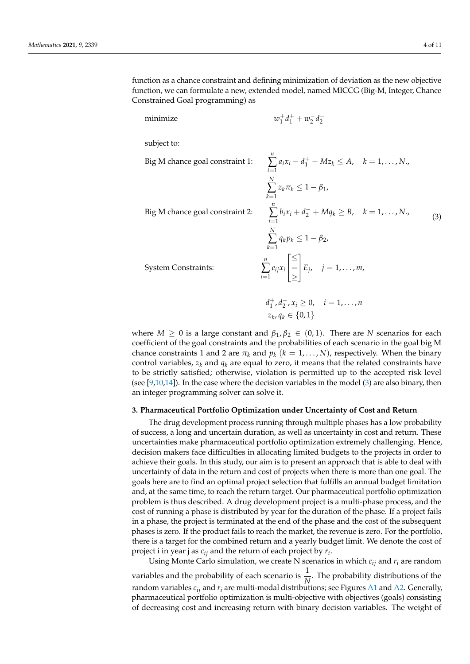function as a chance constraint and defining minimization of deviation as the new objective function, we can formulate a new, extended model, named MICCG (Big-M, Integer, Chance Constrained Goal programming) as

*n*

minimize *w*

$$
w_1^+d_1^+ + w_2^-d_2^-
$$

subject to:

<span id="page-3-1"></span>Big M chance goal constr

Big M chance goal constraint 1: 
$$
\sum_{i=1} a_i x_i - d_1^+ - Mz_k \le A, \quad k = 1,..., N.,
$$

$$
\sum_{k=1}^N z_k \pi_k \le 1 - \beta_1,
$$
Big M chance goal constraint 2: 
$$
\sum_{i=1}^n b_i x_i + d_2^- + Mq_k \ge B, \quad k = 1,..., N.,
$$

$$
\sum_{k=1}^N q_k p_k \le 1 - \beta_2,
$$

$$
\text{System Constraints: } \sum_{i=1}^n e_{ij} x_i \begin{bmatrix} \le \\ = \\ \ge \end{bmatrix} E_j, \quad j = 1,..., m,
$$
\n(3)

System Constraints:

$$
d_1^+, d_2^-, x_i \ge 0, \quad i = 1, ..., n
$$
  

$$
z_k, q_k \in \{0, 1\}
$$

where  $M \geq 0$  is a large constant and  $\beta_1, \beta_2 \in (0,1)$ . There are *N* scenarios for each coefficient of the goal constraints and the probabilities of each scenario in the goal big M chance constraints 1 and 2 are  $\pi_k$  and  $p_k$  ( $k = 1, ..., N$ ), respectively. When the binary control variables,  $z_k$  and  $q_k$  are equal to zero, it means that the related constraints have to be strictly satisfied; otherwise, violation is permitted up to the accepted risk level (see [\[9,](#page-10-7)[10,](#page-10-8)[14\]](#page-10-12)). In the case where the decision variables in the model [\(3\)](#page-3-1) are also binary, then an integer programming solver can solve it.

#### <span id="page-3-0"></span>**3. Pharmaceutical Portfolio Optimization under Uncertainty of Cost and Return**

The drug development process running through multiple phases has a low probability of success, a long and uncertain duration, as well as uncertainty in cost and return. These uncertainties make pharmaceutical portfolio optimization extremely challenging. Hence, decision makers face difficulties in allocating limited budgets to the projects in order to achieve their goals. In this study, our aim is to present an approach that is able to deal with uncertainty of data in the return and cost of projects when there is more than one goal. The goals here are to find an optimal project selection that fulfills an annual budget limitation and, at the same time, to reach the return target. Our pharmaceutical portfolio optimization problem is thus described. A drug development project is a multi-phase process, and the cost of running a phase is distributed by year for the duration of the phase. If a project fails in a phase, the project is terminated at the end of the phase and the cost of the subsequent phases is zero. If the product fails to reach the market, the revenue is zero. For the portfolio, there is a target for the combined return and a yearly budget limit. We denote the cost of project i in year j as *cij* and the return of each project by *r<sup>i</sup>* .

Using Monte Carlo simulation, we create N scenarios in which  $c_{ij}$  and  $r_i$  are random variables and the probability of each scenario is  $\frac{1}{N}$ . The probability distributions of the random variables *cij* and *r<sup>i</sup>* are multi-modal distributions; see Figures [A1](#page-9-0) and [A2.](#page-9-1) Generally, pharmaceutical portfolio optimization is multi-objective with objectives (goals) consisting of decreasing cost and increasing return with binary decision variables. The weight of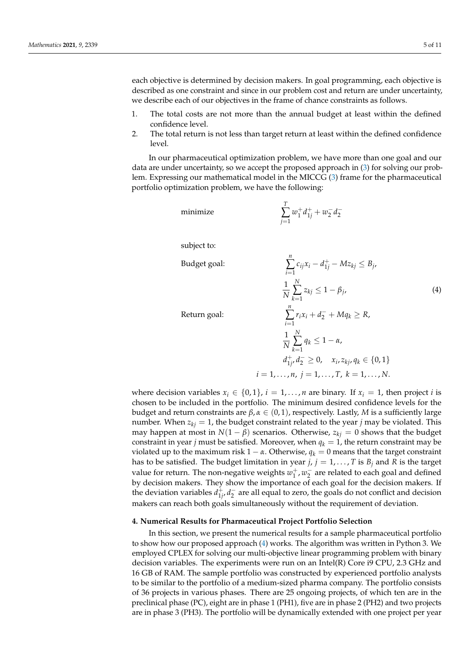each objective is determined by decision makers. In goal programming, each objective is described as one constraint and since in our problem cost and return are under uncertainty, we describe each of our objectives in the frame of chance constraints as follows.

- 1. The total costs are not more than the annual budget at least within the defined confidence level.
- 2. The total return is not less than target return at least within the defined confidence level.

In our pharmaceutical optimization problem, we have more than one goal and our data are under uncertainty, so we accept the proposed approach in [\(3\)](#page-3-1) for solving our problem. Expressing our mathematical model in the MICCG [\(3\)](#page-3-1) frame for the pharmaceutical portfolio optimization problem, we have the following:

minimize

$$
\sum_{j=1}^T w_1^+ d_{1j}^+ + w_2^- d_2^-
$$

subject to:

<span id="page-4-1"></span>Budget goal:

Return goal:

$$
\sum_{i=1}^{n} c_{ij}x_i - d_{1j}^+ - Mz_{kj} \le B_j,
$$
\n
$$
\frac{1}{N} \sum_{k=1}^{N} z_{kj} \le 1 - \beta_j,
$$
\n
$$
\sum_{i=1}^{n} r_i x_i + d_2^- + Mq_k \ge R,
$$
\n(4)

$$
\frac{1}{N} \sum_{k=1}^{N} q_k \le 1 - \alpha,
$$
  
\n
$$
d_{1j}^+, d_2^- \ge 0, \quad x_i, z_{kj}, q_k \in \{0, 1\}
$$
  
\n $i = 1, ..., n, j = 1, ..., T, k = 1, ..., N.$ 

where decision variables  $x_i \in \{0,1\}$ ,  $i = 1, \ldots, n$  are binary. If  $x_i = 1$ , then project *i* is chosen to be included in the portfolio. The minimum desired confidence levels for the budget and return constraints are *β*, *α* ∈ (0, 1), respectively. Lastly, *M* is a sufficiently large number. When  $z_{ki} = 1$ , the budget constraint related to the year *j* may be violated. This may happen at most in  $N(1 - \beta)$  scenarios. Otherwise,  $z_{ki} = 0$  shows that the budget constraint in year *j* must be satisfied. Moreover, when  $q_k = 1$ , the return constraint may be violated up to the maximum risk  $1 - \alpha$ . Otherwise,  $q_k = 0$  means that the target constraint has to be satisfied. The budget limitation in year  $j$ ,  $j = 1, \ldots, T$  is  $B_j$  and  $R$  is the target value for return. The non-negative weights  $w_1^+, w_2^-$  are related to each goal and defined by decision makers. They show the importance of each goal for the decision makers. If the deviation variables  $d_{1i}^+$  $\frac{1}{1}$ *i*  $d_2$  are all equal to zero, the goals do not conflict and decision makers can reach both goals simultaneously without the requirement of deviation.

### <span id="page-4-0"></span>**4. Numerical Results for Pharmaceutical Project Portfolio Selection**

In this section, we present the numerical results for a sample pharmaceutical portfolio to show how our proposed approach [\(4\)](#page-4-1) works. The algorithm was written in Python 3. We employed CPLEX for solving our multi-objective linear programming problem with binary decision variables. The experiments were run on an Intel(R) Core i9 CPU, 2.3 GHz and 16 GB of RAM. The sample portfolio was constructed by experienced portfolio analysts to be similar to the portfolio of a medium-sized pharma company. The portfolio consists of 36 projects in various phases. There are 25 ongoing projects, of which ten are in the preclinical phase (PC), eight are in phase 1 (PH1), five are in phase 2 (PH2) and two projects are in phase 3 (PH3). The portfolio will be dynamically extended with one project per year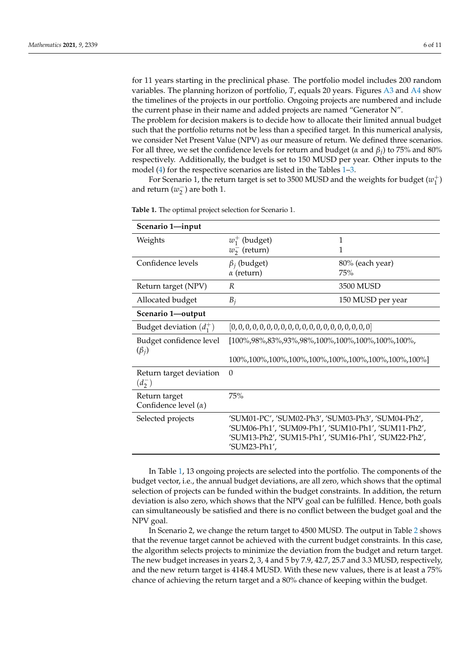for 11 years starting in the preclinical phase. The portfolio model includes 200 random variables. The planning horizon of portfolio, *T*, equals 20 years. Figures [A3](#page-9-2) and [A4](#page-10-13) show the timelines of the projects in our portfolio. Ongoing projects are numbered and include the current phase in their name and added projects are named "Generator N".

The problem for decision makers is to decide how to allocate their limited annual budget such that the portfolio returns not be less than a specified target. In this numerical analysis, we consider Net Present Value (NPV) as our measure of return. We defined three scenarios. For all three, we set the confidence levels for return and budget (*α* and *β<sup>j</sup>* ) to 75% and 80% respectively. Additionally, the budget is set to 150 MUSD per year. Other inputs to the model [\(4\)](#page-4-1) for the respective scenarios are listed in the Tables [1–](#page-5-0)[3.](#page-7-0)

For Scenario 1, the return target is set to 3500 MUSD and the weights for budget  $(w_1^+)$ and return  $(w_2^-)$  are both 1.

| Scenario 1-input                             |                                                                                                                                                                                  |                   |
|----------------------------------------------|----------------------------------------------------------------------------------------------------------------------------------------------------------------------------------|-------------------|
| Weights                                      | $w_1^+$ (budget)                                                                                                                                                                 | 1                 |
|                                              | $w_2^-$ (return)                                                                                                                                                                 | 1                 |
| Confidence levels                            | $\beta_i$ (budget)                                                                                                                                                               | 80% (each year)   |
|                                              | $\alpha$ (return)                                                                                                                                                                | 75%               |
| Return target (NPV)                          | R                                                                                                                                                                                | 3500 MUSD         |
| Allocated budget                             | $B_i$                                                                                                                                                                            | 150 MUSD per year |
| Scenario 1-output                            |                                                                                                                                                                                  |                   |
| Budget deviation $(d_1^+)$                   |                                                                                                                                                                                  |                   |
| Budget confidence level<br>$(\beta_i)$       | $[100\%, 98\%, 83\%, 93\%, 98\%, 100\%, 100\%, 100\%, 100\%, 100\%,$                                                                                                             |                   |
|                                              | 100\%,100\%,100\%,100\%,100\%,100\%,100\%,100\%,100\%,100\%                                                                                                                      |                   |
| Return target deviation<br>$(d_2^-)$         | $\Omega$                                                                                                                                                                         |                   |
| Return target<br>Confidence level $(\alpha)$ | 75%                                                                                                                                                                              |                   |
| Selected projects                            | 'SUM01-PC', 'SUM02-Ph3', 'SUM03-Ph3', 'SUM04-Ph2',<br>'SUM06-Ph1', 'SUM09-Ph1', 'SUM10-Ph1', 'SUM11-Ph2',<br>'SUM13-Ph2', 'SUM15-Ph1', 'SUM16-Ph1', 'SUM22-Ph2',<br>'SUM23-Ph1', |                   |

<span id="page-5-0"></span>**Table 1.** The optimal project selection for Scenario 1.

In Table [1,](#page-5-0) 13 ongoing projects are selected into the portfolio. The components of the budget vector, i.e., the annual budget deviations, are all zero, which shows that the optimal selection of projects can be funded within the budget constraints. In addition, the return deviation is also zero, which shows that the NPV goal can be fulfilled. Hence, both goals can simultaneously be satisfied and there is no conflict between the budget goal and the NPV goal.

In Scenario 2, we change the return target to 4500 MUSD. The output in Table [2](#page-6-0) shows that the revenue target cannot be achieved with the current budget constraints. In this case, the algorithm selects projects to minimize the deviation from the budget and return target. The new budget increases in years 2, 3, 4 and 5 by 7.9, 42.7, 25.7 and 3.3 MUSD, respectively, and the new return target is 4148.4 MUSD. With these new values, there is at least a 75% chance of achieving the return target and a 80% chance of keeping within the budget.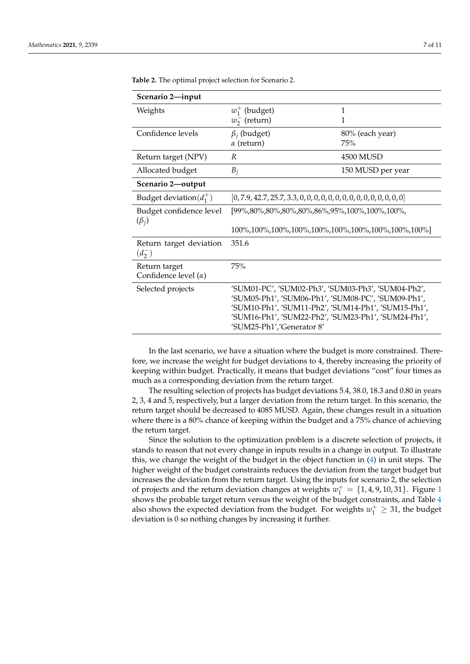| Scenario 2-input                             |                                                                                                                                                                                                                                                     |                   |
|----------------------------------------------|-----------------------------------------------------------------------------------------------------------------------------------------------------------------------------------------------------------------------------------------------------|-------------------|
| Weights                                      | $w_1^+$ (budget)                                                                                                                                                                                                                                    | 1                 |
|                                              | $w_2^-$ (return)                                                                                                                                                                                                                                    | 1                 |
| Confidence levels                            | $\beta_i$ (budget)                                                                                                                                                                                                                                  | 80% (each year)   |
|                                              | $\alpha$ (return)                                                                                                                                                                                                                                   | 75%               |
| Return target (NPV)                          | R                                                                                                                                                                                                                                                   | 4500 MUSD         |
| Allocated budget                             | $B_i$                                                                                                                                                                                                                                               | 150 MUSD per year |
| Scenario 2-output                            |                                                                                                                                                                                                                                                     |                   |
| Budget deviation( $d_1^+$ )                  |                                                                                                                                                                                                                                                     |                   |
| Budget confidence level<br>$(\beta_i)$       | [99%,80%,80%,80%,80%,86%,95%,100%,100%,100%,                                                                                                                                                                                                        |                   |
|                                              |                                                                                                                                                                                                                                                     |                   |
| Return target deviation<br>$(d_2^-)$         | 351.6                                                                                                                                                                                                                                               |                   |
| Return target<br>Confidence level $(\alpha)$ | 75%                                                                                                                                                                                                                                                 |                   |
| Selected projects                            | 'SUM01-PC', 'SUM02-Ph3', 'SUM03-Ph3', 'SUM04-Ph2',<br>'SUM05-Ph1', 'SUM06-Ph1', 'SUM08-PC', 'SUM09-Ph1',<br>'SUM10-Ph1', 'SUM11-Ph2', 'SUM14-Ph1', 'SUM15-Ph1',<br>'SUM16-Ph1', 'SUM22-Ph2', 'SUM23-Ph1', 'SUM24-Ph1',<br>'SUM25-Ph1','Generator 8' |                   |

<span id="page-6-0"></span>**Table 2.** The optimal project selection for Scenario 2.

In the last scenario, we have a situation where the budget is more constrained. Therefore, we increase the weight for budget deviations to 4, thereby increasing the priority of keeping within budget. Practically, it means that budget deviations "cost" four times as much as a corresponding deviation from the return target.

The resulting selection of projects has budget deviations 5.4, 38.0, 18.3 and 0.80 in years 2, 3, 4 and 5, respectively, but a larger deviation from the return target. In this scenario, the return target should be decreased to 4085 MUSD. Again, these changes result in a situation where there is a 80% chance of keeping within the budget and a 75% chance of achieving the return target.

Since the solution to the optimization problem is a discrete selection of projects, it stands to reason that not every change in inputs results in a change in output. To illustrate this, we change the weight of the budget in the object function in [\(4\)](#page-4-1) in unit steps. The higher weight of the budget constraints reduces the deviation from the target budget but increases the deviation from the return target. Using the inputs for scenario 2, the selection of projects and the return deviation changes at weights  $w_1^+ = \{1, 4, 9, 10, 31\}$  $w_1^+ = \{1, 4, 9, 10, 31\}$  $w_1^+ = \{1, 4, 9, 10, 31\}$ . Figure 1 shows the probable target return versus the weight of the budget constraints, and Table [4](#page-8-2) also shows the expected deviation from the budget. For weights  $w_1^+ \geq 31$ , the budget deviation is 0 so nothing changes by increasing it further.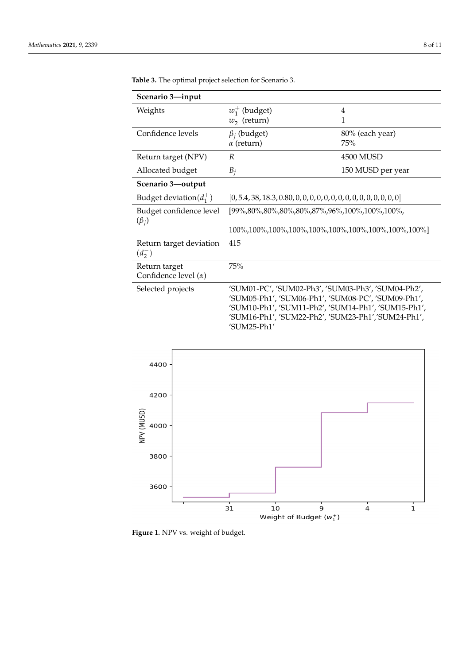| Scenario 3-input                             |                                                                                                                                                                                                                                      |                   |
|----------------------------------------------|--------------------------------------------------------------------------------------------------------------------------------------------------------------------------------------------------------------------------------------|-------------------|
| Weights                                      | $w_1^+$ (budget)                                                                                                                                                                                                                     | 4                 |
|                                              | $w_2^-$ (return)                                                                                                                                                                                                                     | 1                 |
| Confidence levels                            | $\beta_i$ (budget)                                                                                                                                                                                                                   | 80% (each year)   |
|                                              | $\alpha$ (return)                                                                                                                                                                                                                    | 75%               |
| Return target (NPV)                          | R                                                                                                                                                                                                                                    | 4500 MUSD         |
| Allocated budget                             | $B_i$                                                                                                                                                                                                                                | 150 MUSD per year |
| Scenario 3-output                            |                                                                                                                                                                                                                                      |                   |
| Budget deviation( $d_1^+$ )                  |                                                                                                                                                                                                                                      |                   |
| Budget confidence level<br>$(\beta_i)$       | [99%,80%,80%,80%,80%,87%,96%,100%,100%,100%,                                                                                                                                                                                         |                   |
|                                              | 100\%,100\%,100\%,100\%,100\%,100\%,100\%,100\%,100\%,100\%                                                                                                                                                                          |                   |
| Return target deviation<br>$(d_2^-)$         | 415                                                                                                                                                                                                                                  |                   |
| Return target<br>Confidence level $(\alpha)$ | 75%                                                                                                                                                                                                                                  |                   |
| Selected projects                            | 'SUM01-PC', 'SUM02-Ph3', 'SUM03-Ph3', 'SUM04-Ph2',<br>'SUM05-Ph1', 'SUM06-Ph1', 'SUM08-PC', 'SUM09-Ph1',<br>'SUM10-Ph1', 'SUM11-Ph2', 'SUM14-Ph1', 'SUM15-Ph1',<br>'SUM16-Ph1', 'SUM22-Ph2', 'SUM23-Ph1','SUM24-Ph1',<br>'SUM25-Ph1' |                   |

<span id="page-7-0"></span>**Table 3.** The optimal project selection for Scenario 3.

<span id="page-7-1"></span>

**Figure 1.** NPV vs. weight of budget.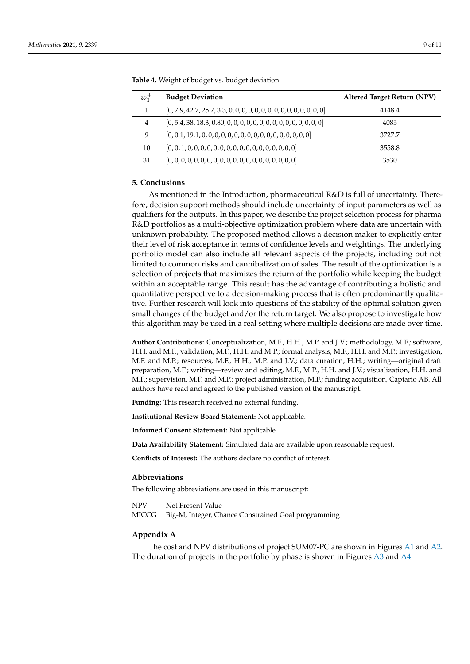| $w_1^+$        | <b>Budget Deviation</b> | Altered Target Return (NPV) |
|----------------|-------------------------|-----------------------------|
|                |                         | 4148.4                      |
| $\overline{4}$ |                         | 4085                        |
| 9              |                         | 3727.7                      |
| 10             |                         | 3558.8                      |
| 31             |                         | 3530                        |

<span id="page-8-2"></span>**Table 4.** Weight of budget vs. budget deviation.

## <span id="page-8-1"></span>**5. Conclusions**

As mentioned in the Introduction, pharmaceutical R&D is full of uncertainty. Therefore, decision support methods should include uncertainty of input parameters as well as qualifiers for the outputs. In this paper, we describe the project selection process for pharma R&D portfolios as a multi-objective optimization problem where data are uncertain with unknown probability. The proposed method allows a decision maker to explicitly enter their level of risk acceptance in terms of confidence levels and weightings. The underlying portfolio model can also include all relevant aspects of the projects, including but not limited to common risks and cannibalization of sales. The result of the optimization is a selection of projects that maximizes the return of the portfolio while keeping the budget within an acceptable range. This result has the advantage of contributing a holistic and quantitative perspective to a decision-making process that is often predominantly qualitative. Further research will look into questions of the stability of the optimal solution given small changes of the budget and/or the return target. We also propose to investigate how this algorithm may be used in a real setting where multiple decisions are made over time.

**Author Contributions:** Conceptualization, M.F., H.H., M.P. and J.V.; methodology, M.F.; software, H.H. and M.F.; validation, M.F., H.H. and M.P.; formal analysis, M.F., H.H. and M.P.; investigation, M.F. and M.P.; resources, M.F., H.H., M.P. and J.V.; data curation, H.H.; writing—original draft preparation, M.F.; writing—review and editing, M.F., M.P., H.H. and J.V.; visualization, H.H. and M.F.; supervision, M.F. and M.P.; project administration, M.F.; funding acquisition, Captario AB. All authors have read and agreed to the published version of the manuscript.

**Funding:** This research received no external funding.

**Institutional Review Board Statement:** Not applicable.

**Informed Consent Statement:** Not applicable.

**Data Availability Statement:** Simulated data are available upon reasonable request.

**Conflicts of Interest:** The authors declare no conflict of interest.

### **Abbreviations**

The following abbreviations are used in this manuscript:

NPV Net Present Value MICCG Big-M, Integer, Chance Constrained Goal programming

### <span id="page-8-0"></span>**Appendix A**

The cost and NPV distributions of project SUM07-PC are shown in Figures [A1](#page-9-0) and [A2.](#page-9-1) The duration of projects in the portfolio by phase is shown in Figures [A3](#page-9-2) and [A4.](#page-10-13)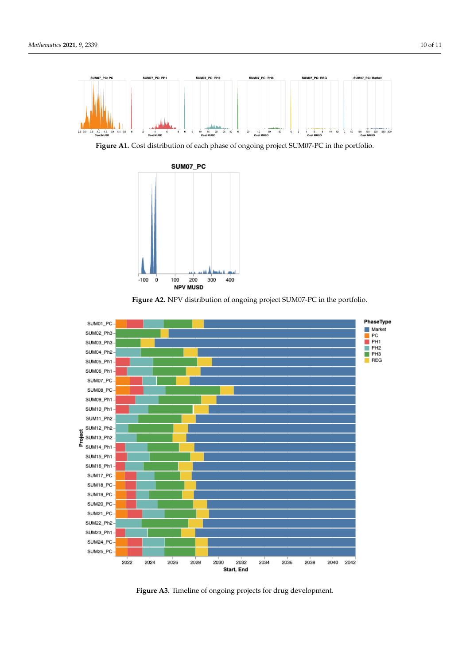<span id="page-9-0"></span>

**Figure A1.** Cost distribution of each phase of ongoing project SUM07-PC in the portfolio.

<span id="page-9-1"></span>



<span id="page-9-2"></span>

**Figure A3.** Timeline of ongoing projects for drug development.